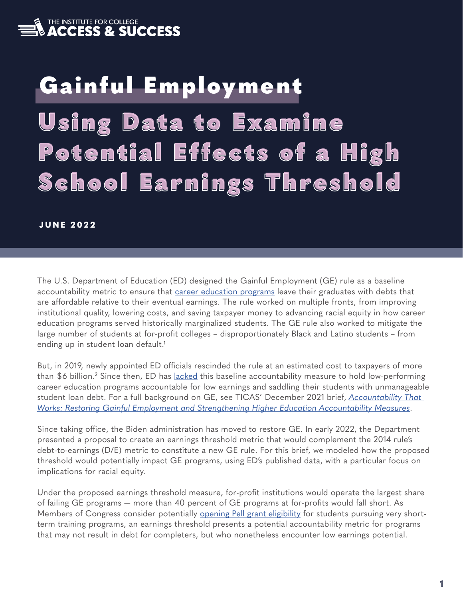<span id="page-0-0"></span>

# Using Data to Examine Using Data to Examine Potential Effects of a High School Earnings Threshold School Earnings Threshold Gainful Employment

#### **JUNE 2022**

The U.S. Department of Education (ED) designed the Gainful Employment (GE) rule as a baseline accountability metric to ensure that [career education programs](https://s3.amazonaws.com/PCRN/uploads/perkins_v.pdf#page=3) leave their graduates with debts that are affordable relative to their eventual earnings. The rule worked on multiple fronts, from improving institutional quality, lowering costs, and saving taxpayer money to advancing racial equity in how career education programs served historically marginalized students. The GE rule also worked to mitigate the large number of students at for-profit colleges – disproportionately Black and Latino students – from ending up in student loan default.<sup>1</sup>

But, in 2019, newly appointed ED officials rescinded the rule at an estimated cost to taxpayers of more than \$6 billion.<sup>[2](#page-7-0)</sup> Since then, ED has <u>lacked</u> this baseline accountability measure to hold low-performing career education programs accountable for low earnings and saddling their students with unmanageable student loan debt. For a full background on GE, see TICAS' December 2021 brief, *[Accountability That](https://ticas.org/wp-content/uploads/2021/12/Accountability-That-Works.pdf)  [Works: Restoring Gainful Employment and Strengthening Higher Education Accountability Measures](https://ticas.org/wp-content/uploads/2021/12/Accountability-That-Works.pdf)*.

Since taking office, the Biden administration has moved to restore GE. In early 2022, the Department presented a proposal to create an earnings threshold metric that would complement the 2014 rule's debt-to-earnings (D/E) metric to constitute a new GE rule. For this brief, we modeled how the proposed threshold would potentially impact GE programs, using ED's published data, with a particular focus on implications for racial equity.

Under the proposed earnings threshold measure, for-profit institutions would operate the largest share of failing GE programs — more than 40 percent of GE programs at for-profits would fall short. As Members of Congress consider potentially **opening Pell grant eligibility** for students pursuing very shortterm training programs, an earnings threshold presents a potential accountability metric for programs that may not result in debt for completers, but who nonetheless encounter low earnings potential.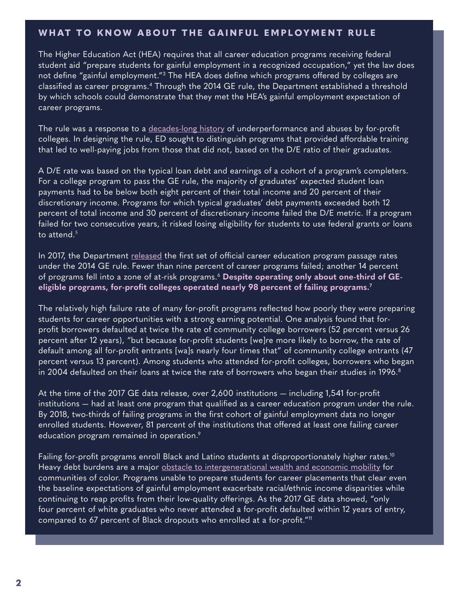#### <span id="page-1-0"></span>WHAT TO KNOW ABOUT THE GAINFUL EMPLOYMENT RULE

The Higher Education Act (HEA) requires that all career education programs receiving federal student aid "prepare students for gainful employment in a recognized occupation," yet the law does not define "gainful employment.["3](#page-7-0) The HEA does define which programs offered by colleges are classified as career programs[.4](#page-7-0) Through the 2014 GE rule, the Department established a threshold by which schools could demonstrate that they met the HEA's gainful employment expectation of career programs.

The rule was a response to a [decades-long history](https://www.newamerica.org/education-policy/reports/for-profit-colleges-and-the-myth-of-institutional-equity/) of underperformance and abuses by for-profit colleges. In designing the rule, ED sought to distinguish programs that provided affordable training that led to well-paying jobs from those that did not, based on the D/E ratio of their graduates.

A D/E rate was based on the typical loan debt and earnings of a cohort of a program's completers. For a college program to pass the GE rule, the majority of graduates' expected student loan payments had to be below both eight percent of their total income and 20 percent of their discretionary income. Programs for which typical graduates' debt payments exceeded both 12 percent of total income and 30 percent of discretionary income failed the D/E metric. If a program failed for two consecutive years, it risked losing eligibility for students to use federal grants or loans to attend. $5$ 

In 2017, the Department [released](https://ticas.org/accountability/what-does-failing-program-look/) the first set of official career education program passage rates under the 2014 GE rule. Fewer than nine percent of career programs failed; another 14 percent of programs fell into a zone of at-risk programs.[6](#page-7-0) **Despite operating only about one-third of GEeligible programs, for-profit colleges operated nearly 98 percent of failing programs.[7](#page-7-0)**

The relatively high failure rate of many for-profit programs reflected how poorly they were preparing students for career opportunities with a strong earning potential. One analysis found that forprofit borrowers defaulted at twice the rate of community college borrowers (52 percent versus 26 percent after 12 years), "but because for-profit students [we]re more likely to borrow, the rate of default among all for-profit entrants [wa]s nearly four times that" of community college entrants (47 percent versus 13 percent). Among students who attended for-profit colleges, borrowers who began in 2004 defaulted on their loans at twice the rate of borrowers who began their studies in 1996.<sup>[8](#page-7-0)</sup>

At the time of the 2017 GE data release, over 2,600 institutions — including 1,541 for-profit institutions — had at least one program that qualified as a career education program under the rule. By 2018, two-thirds of failing programs in the first cohort of gainful employment data no longer enrolled students. However, 81 percent of the institutions that offered at least one failing career education program remained in operation. $9$ 

Failing for-profit programs enroll Black and Latino students at disproportionately higher rates.<sup>10</sup> Heavy debt burdens are a major [obstacle to intergenerational wealth and economic mobility](https://www.brookings.edu/blog/up-front/2020/12/08/the-black-white-wealth-gap-left-black-households-more-vulnerable/) for communities of color. Programs unable to prepare students for career placements that clear even the baseline expectations of gainful employment exacerbate racial/ethnic income disparities while continuing to reap profits from their low-quality offerings. As the 2017 GE data showed, "only four percent of white graduates who never attended a for-profit defaulted within 12 years of entry, compared to 67 percent of Black dropouts who enrolled at a for-profit.["11](#page-7-0)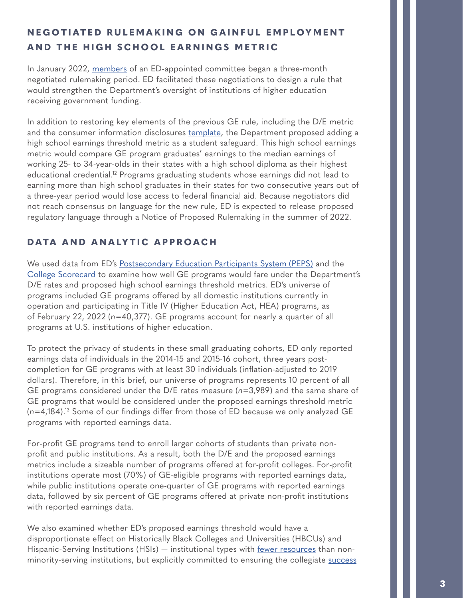# <span id="page-2-0"></span>**NEGOTIATED RULEMAKING ON GAINFUL EMPLOYMENT AND THE HIGH SCHOOL EARNINGS METRIC**

In January 2022, [members](https://www2.ed.gov/policy/highered/reg/hearulemaking/2021/negregrevcommlisjan18.pdf) of an ED-appointed committee began a three-month negotiated rulemaking period. ED facilitated these negotiations to design a rule that would strengthen the Department's oversight of institutions of higher education receiving government funding.

In addition to restoring key elements of the previous GE rule, including the D/E metric and the consumer information disclosures [template](https://ope.ed.gov/gainfulemployment/gedt_quick_start_guide.pdf), the Department proposed adding a high school earnings threshold metric as a student safeguard. This high school earnings metric would compare GE program graduates' earnings to the median earnings of working 25- to 34-year-olds in their states with a high school diploma as their highest educational credential.<sup>12</sup> Programs graduating students whose earnings did not lead to earning more than high school graduates in their states for two consecutive years out of a three-year period would lose access to federal financial aid. Because negotiators did not reach consensus on language for the new rule, ED is expected to release proposed regulatory language through a Notice of Proposed Rulemaking in the summer of 2022.

## **DATA AND ANALYTIC APPROACH**

We used data from ED's [Postsecondary Education Participants System \(PEPS\)](https://www2.ed.gov/offices/OSFAP/PEPS/dataextracts.html) and the [College Scorecard](https://collegescorecard.ed.gov/) to examine how well GE programs would fare under the Department's D/E rates and proposed high school earnings threshold metrics. ED's universe of programs included GE programs offered by all domestic institutions currently in operation and participating in Title IV (Higher Education Act, HEA) programs, as of February 22, 2022 (*n*=40,377). GE programs account for nearly a quarter of all programs at U.S. institutions of higher education.

To protect the privacy of students in these small graduating cohorts, ED only reported earnings data of individuals in the 2014-15 and 2015-16 cohort, three years postcompletion for GE programs with at least 30 individuals (inflation-adjusted to 2019 dollars). Therefore, in this brief, our universe of programs represents 10 percent of all GE programs considered under the D/E rates measure (*n*=3,989) and the same share of GE programs that would be considered under the proposed earnings threshold metric (*n*=4,184)[.13](#page-7-0) Some of our findings differ from those of ED because we only analyzed GE programs with reported earnings data.

For-profit GE programs tend to enroll larger cohorts of students than private nonprofit and public institutions. As a result, both the D/E and the proposed earnings metrics include a sizeable number of programs offered at for-profit colleges. For-profit institutions operate most (70%) of GE-eligible programs with reported earnings data, while public institutions operate one-quarter of GE programs with reported earnings data, followed by six percent of GE programs offered at private non-profit institutions with reported earnings data.

We also examined whether ED's proposed earnings threshold would have a disproportionate effect on Historically Black Colleges and Universities (HBCUs) and Hispanic-Serving Institutions (HSIs) — institutional types with [fewer resources](https://www.brookings.edu/blog/brown-center-chalkboard/2021/01/18/when-it-comes-to-student-success-hbcus-do-more-with-less/) than nonminority-serving institutions, but explicitly committed to ensuring the collegiate [success](https://journals.sagepub.com/doi/abs/10.3102/0013189X13478978)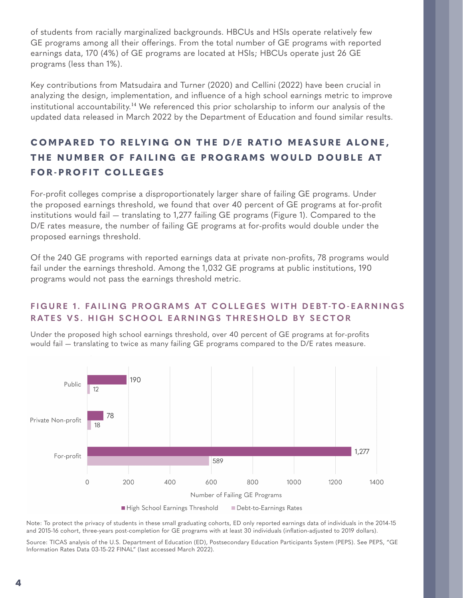<span id="page-3-0"></span>of students from racially marginalized backgrounds. HBCUs and HSIs operate relatively few GE programs among all their offerings. From the total number of GE programs with reported earnings data, 170 (4%) of GE programs are located at HSIs; HBCUs operate just 26 GE programs (less than 1%).

Key contributions from Matsudaira and Turner (2020) and Cellini (2022) have been crucial in analyzing the design, implementation, and influence of a high school earnings metric to improve institutional accountability.[14](#page-7-0) We referenced this prior scholarship to inform our analysis of the updated data released in March 2022 by the Department of Education and found similar results.

# **COMPARED TO RELYING ON THE D/E RATIO MEASURE ALONE, THE NUMBER OF FAILING GE PROGRAMS WOULD DOUBLE AT FOR-PROFIT COLLEGES**

For-profit colleges comprise a disproportionately larger share of failing GE programs. Under the proposed earnings threshold, we found that over 40 percent of GE programs at for-profit institutions would fail — translating to 1,277 failing GE programs (Figure 1). Compared to the D/E rates measure, the number of failing GE programs at for-profits would double under the proposed earnings threshold.

Of the 240 GE programs with reported earnings data at private non-profits, 78 programs would fail under the earnings threshold. Among the 1,032 GE programs at public institutions, 190 programs would not pass the earnings threshold metric.

#### **FIGURE 1. FAILING PROGRAMS AT COLLEGES WITH DEBT-TO-EARNINGS RATES VS. HIGH SCHOOL EARNINGS THRESHOLD BY SECTOR**

Under the proposed high school earnings threshold, over 40 percent of GE programs at for-profits would fail — translating to twice as many failing GE programs compared to the D/E rates measure.



Note: To protect the privacy of students in these small graduating cohorts, ED only reported earnings data of individuals in the 2014-15 and 2015-16 cohort, three-years post-completion for GE programs with at least 30 individuals (inflation-adjusted to 2019 dollars).

Source: TICAS analysis of the U.S. Department of Education (ED), Postsecondary Education Participants System (PEPS). See PEPS, "GE Information Rates Data 03-15-22 FINAL" (last accessed March 2022).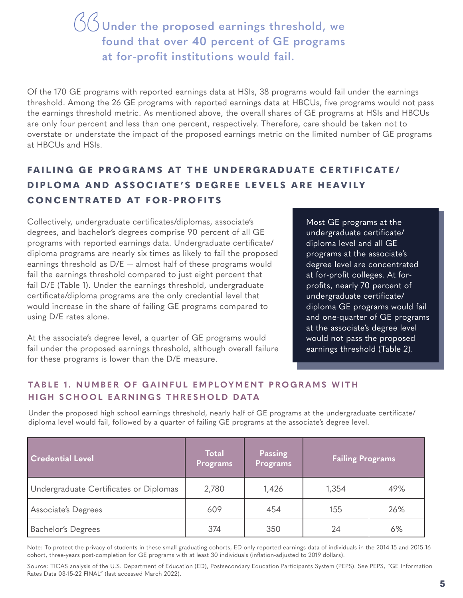**Under the proposed earnings threshold, we found that over 40 percent of GE programs " at for-profit institutions would fail.**

Of the 170 GE programs with reported earnings data at HSIs, 38 programs would fail under the earnings threshold. Among the 26 GE programs with reported earnings data at HBCUs, five programs would not pass the earnings threshold metric. As mentioned above, the overall shares of GE programs at HSIs and HBCUs are only four percent and less than one percent, respectively. Therefore, care should be taken not to overstate or understate the impact of the proposed earnings metric on the limited number of GE programs at HBCUs and HSIs.

# **FAILING GE PROGRAMS AT THE UNDERGRADUATE CERTIFICATE/ DIPLOMA AND ASSOCIATE'S DEGREE LEVELS ARE HEAVILY CONCENTRATED AT FOR-PROFITS**

Collectively, undergraduate certificates/diplomas, associate's degrees, and bachelor's degrees comprise 90 percent of all GE programs with reported earnings data. Undergraduate certificate/ diploma programs are nearly six times as likely to fail the proposed earnings threshold as D/E — almost half of these programs would fail the earnings threshold compared to just eight percent that fail D/E (Table 1). Under the earnings threshold, undergraduate certificate/diploma programs are the only credential level that would increase in the share of failing GE programs compared to using D/E rates alone.

At the associate's degree level, a quarter of GE programs would fail under the proposed earnings threshold, although overall failure for these programs is lower than the D/E measure.

Most GE programs at the undergraduate certificate/ diploma level and all GE programs at the associate's degree level are concentrated at for-profit colleges. At forprofits, nearly 70 percent of undergraduate certificate/ diploma GE programs would fail and one-quarter of GE programs at the associate's degree level would not pass the proposed earnings threshold (Table 2).

#### **TABLE 1. NUMBER OF GAINFUL EMPLOYMENT PROGRAMS WITH HIGH SCHOOL EARNINGS THRESHOLD DATA**

Under the proposed high school earnings threshold, nearly half of GE programs at the undergraduate certificate/ diploma level would fail, followed by a quarter of failing GE programs at the associate's degree level.

| <b>Credential Level</b>                | <b>Total</b><br><b>Programs</b> | Passing<br>Programs | <b>Failing Programs</b> |     |  |
|----------------------------------------|---------------------------------|---------------------|-------------------------|-----|--|
| Undergraduate Certificates or Diplomas | 2,780                           | 1,426               | 1,354                   | 49% |  |
| Associate's Degrees                    | 609                             | 454                 | 155                     | 26% |  |
| <b>Bachelor's Degrees</b>              | 374                             | 350                 | 24                      | 6%  |  |

Note: To protect the privacy of students in these small graduating cohorts, ED only reported earnings data of individuals in the 2014-15 and 2015-16 cohort, three-years post-completion for GE programs with at least 30 individuals (inflation-adjusted to 2019 dollars).

Source: TICAS analysis of the U.S. Department of Education (ED), Postsecondary Education Participants System (PEPS). See PEPS, "GE Information Rates Data 03-15-22 FINAL" (last accessed March 2022).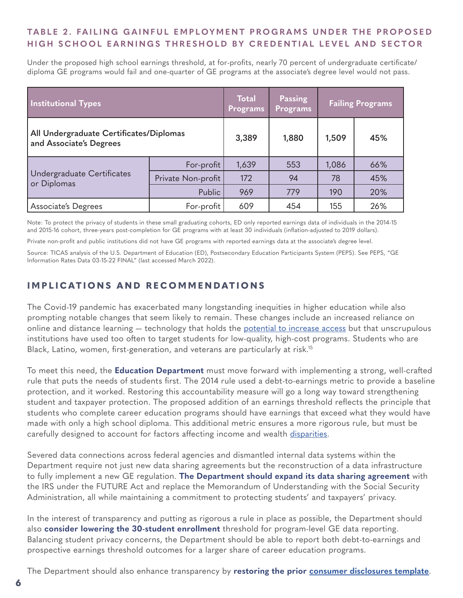## <span id="page-5-0"></span>TABLE 2. FAILING GAINFUL EMPLOYMENT PROGRAMS UNDER THE PROPOSED **HIGH SCHOOL EARNINGS THRESHOLD BY CREDENTIAL LEVEL AND SECTOR**

Under the proposed high school earnings threshold, at for-profits, nearly 70 percent of undergraduate certificate/ diploma GE programs would fail and one-quarter of GE programs at the associate's degree level would not pass.

| <b>Institutional Types</b>                                         |                    | Total<br>Programs | Passing<br><b>Programs</b> | <b>Failing Programs</b> |     |
|--------------------------------------------------------------------|--------------------|-------------------|----------------------------|-------------------------|-----|
| All Undergraduate Certificates/Diplomas<br>and Associate's Degrees |                    | 3,389             | 1,880                      | 1,509                   | 45% |
| Undergraduate Certificates<br>or Diplomas                          | For-profit         | 1,639             | 553                        | 1,086                   | 66% |
|                                                                    | Private Non-profit | 172               | 94                         | 78                      | 45% |
|                                                                    | Public             | 969               | 779                        | 190                     | 20% |
| Associate's Degrees                                                | For-profit         | 609               | 454                        | 155                     | 26% |

Note: To protect the privacy of students in these small graduating cohorts, ED only reported earnings data of individuals in the 2014-15 and 2015-16 cohort, three-years post-completion for GE programs with at least 30 individuals (inflation-adjusted to 2019 dollars).

Private non-profit and public institutions did not have GE programs with reported earnings data at the associate's degree level.

Source: TICAS analysis of the U.S. Department of Education (ED), Postsecondary Education Participants System (PEPS). See PEPS, "GE Information Rates Data 03-15-22 FINAL" (last accessed March 2022).

## **IMPLICATIONS AND RECOMMENDATIONS**

The Covid-19 pandemic has exacerbated many longstanding inequities in higher education while also prompting notable changes that seem likely to remain. These changes include an increased reliance on online and distance learning – technology that holds the [potential to increase access](https://ticas.org/wp-content/uploads/2020/07/untangling-the-web.pdf) but that unscrupulous institutions have used too often to target students for low-quality, high-cost programs. Students who are Black, Latino, women, first-generation, and veterans are particularly at risk[.15](#page-7-0)

To meet this need, the **Education Department** must move forward with implementing a strong, well-crafted rule that puts the needs of students first. The 2014 rule used a debt-to-earnings metric to provide a baseline protection, and it worked. Restoring this accountability measure will go a long way toward strengthening student and taxpayer protection. The proposed addition of an earnings threshold reflects the principle that students who complete career education programs should have earnings that exceed what they would have made with only a high school diploma. This additional metric ensures a more rigorous rule, but must be carefully designed to account for factors affecting income and wealth [disparities.](https://www.brookings.edu/blog/up-front/2020/12/08/the-black-white-wealth-gap-left-black-households-more-vulnerable/)

Severed data connections across federal agencies and dismantled internal data systems within the Department require not just new data sharing agreements but the reconstruction of a data infrastructure to fully implement a new GE regulation. **The Department should expand its data sharing agreement** with the IRS under the FUTURE Act and replace the Memorandum of Understanding with the Social Security Administration, all while maintaining a commitment to protecting students' and taxpayers' privacy.

In the interest of transparency and putting as rigorous a rule in place as possible, the Department should also **consider lowering the 30-student enrollment** threshold for program-level GE data reporting. Balancing student privacy concerns, the Department should be able to report both debt-to-earnings and prospective earnings threshold outcomes for a larger share of career education programs.

The Department should also enhance transparency by **restoring the prior [consumer disclosures template](https://ticas.org/files/pub_files/coalition_disclosure_template_letter_january_2019.pdf)**.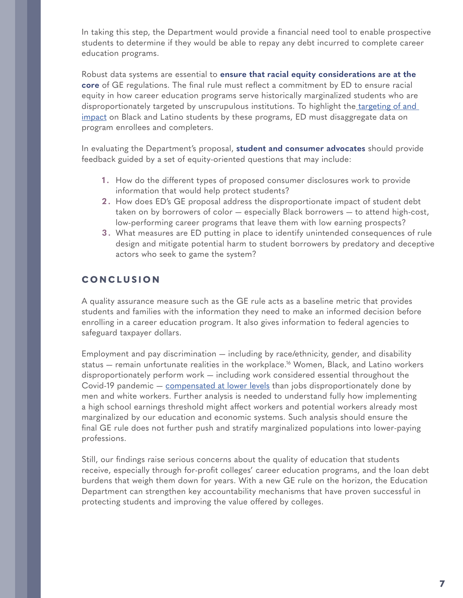<span id="page-6-0"></span>In taking this step, the Department would provide a financial need tool to enable prospective students to determine if they would be able to repay any debt incurred to complete career education programs.

Robust data systems are essential to **ensure that racial equity considerations are at the core** of GE regulations. The final rule must reflect a commitment by ED to ensure racial equity in how career education programs serve historically marginalized students who are disproportionately targeted by unscrupulous institutions. To highlight the targeting of and [impact](https://protectborrowers.org/wp-content/uploads/2021/07/SBPC-Mapping-Exploitation-Report.pdf) on Black and Latino students by these programs, ED must disaggregate data on program enrollees and completers.

In evaluating the Department's proposal, **student and consumer advocates** should provide feedback guided by a set of equity-oriented questions that may include:

- **1 .** How do the different types of proposed consumer disclosures work to provide information that would help protect students?
- **2 .** How does ED's GE proposal address the disproportionate impact of student debt taken on by borrowers of color — especially Black borrowers — to attend high-cost, low-performing career programs that leave them with low earning prospects?
- **3 .** What measures are ED putting in place to identify unintended consequences of rule design and mitigate potential harm to student borrowers by predatory and deceptive actors who seek to game the system?

## **CONCLUSION**

A quality assurance measure such as the GE rule acts as a baseline metric that provides students and families with the information they need to make an informed decision before enrolling in a career education program. It also gives information to federal agencies to safeguard taxpayer dollars.

Employment and pay discrimination — including by race/ethnicity, gender, and disability status – remain unfortunate realities in the workplace.<sup>16</sup> Women, Black, and Latino workers disproportionately perform work — including work considered essential throughout the Covid-19 pandemic – [compensated at lower levels](https://www.urban.org/urban-wire/disparities-gender-complicate-proposed-accountability-metrics?&utm_source=EA&utm_medium=email&utm_campaign=gainful_employment&utm_term=edp&utm_content=higher_ed) than jobs disproportionately done by men and white workers. Further analysis is needed to understand fully how implementing a high school earnings threshold might affect workers and potential workers already most marginalized by our education and economic systems. Such analysis should ensure the final GE rule does not further push and stratify marginalized populations into lower-paying professions.

Still, our findings raise serious concerns about the quality of education that students receive, especially through for-profit colleges' career education programs, and the loan debt burdens that weigh them down for years. With a new GE rule on the horizon, the Education Department can strengthen key accountability mechanisms that have proven successful in protecting students and improving the value offered by colleges.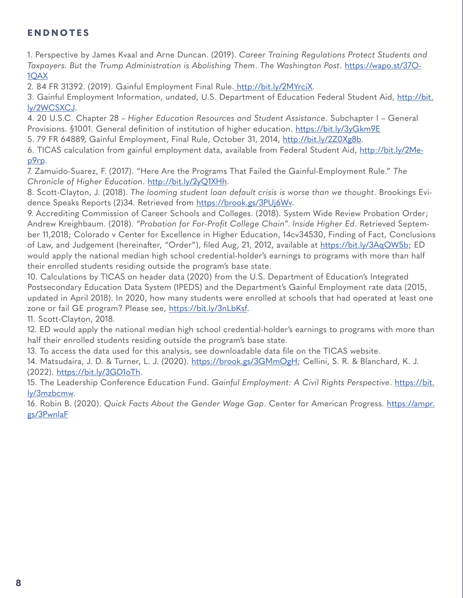# <span id="page-7-0"></span>**ENDNOTES**

[1](#page-0-0). Perspective by James Kvaal and Arne Duncan. (2019). *Career Training Regulations Protect Students and Taxpayers. But the Trump Administration is Abolishing Them*. *The Washington Post*. [https://wapo.st/37O-](https://wapo.st/37O1QAX)[1QAX](https://wapo.st/37O1QAX)

[2.](#page-0-0) 84 FR 31392. (2019). Gainful Employment Final Rule. [http://bit.ly/2MYrciX]( http://bit.ly/2MYrciX).

[3](#page-1-0). Gainful Employment Information, undated, U.S. Department of Education Federal Student Aid, [http://bit.](http://bit.ly/2WCSXCJ) [ly/2WCSXCJ.](http://bit.ly/2WCSXCJ)

[4.](#page-1-0) 20 U.S.C. Chapter 28 – *Higher Education Resources and Student Assistance*. Subchapter I – General Provisions. §1001. General definition of institution of higher education. <https://bit.ly/3yGkm9E>

[5](#page-1-0). 79 FR 64889, Gainful Employment, Final Rule, October 31, 2014, [http://bit.ly/2Z0Xg8b.](http://bit.ly/2Z0Xg8b)

[6.](#page-1-0) TICAS calculation from gainful employment data, available from Federal Student Aid, [http://bit.ly/2Me](http://bit.ly/2Mep9rp)[p9rp](http://bit.ly/2Mep9rp).

[7](#page-1-0). Zamuido-Suarez, F. (2017). "Here Are the Programs That Failed the Gainful-Employment Rule." *The Chronicle of Higher Education*.<http://bit.ly/2yQ1XHh>.

[8](#page-1-0). Scott-Clayton, J. (2018). *The looming student loan default crisis is worse than we thought*. Brookings Evidence Speaks Reports (2)34. Retrieved from https://brook.gs/3PUj6Wv.

[9.](#page-1-0) Accrediting Commission of Career Schools and Colleges. (2018). System Wide Review Probation Order; Andrew Kreighbaum. (2018). "*Probation for For-Profit College Chain*". *Inside Higher Ed*. Retrieved September 11,2018; Colorado v Center for Excellence in Higher Education, 14cv34530, Finding of Fact, Conclusions of Law, and Judgement (hereinafter, "Order"), filed Aug, 21, 2012, available at <https://bit.ly/3AqOW5b>; ED would apply the national median high school credential-holder's earnings to programs with more than half their enrolled students residing outside the program's base state.

[10.](#page-1-0) Calculations by TICAS on header data (2020) from the U.S. Department of Education's Integrated Postsecondary Education Data System (IPEDS) and the Department's Gainful Employment rate data (2015, updated in April 2018). In 2020, how many students were enrolled at schools that had operated at least one zone or fail GE program? Please see, [https://bit.ly/3nLbKsf.](https://bit.ly/3nLbKsf)

[11](#page-1-0). Scott-Clayton, 2018.

[12.](#page-2-0) ED would apply the national median high school credential-holder's earnings to programs with more than half their enrolled students residing outside the program's base state.

[13](#page-2-0). To access the data used for this analysis, see downloadable data file on the TICAS website.

[14.](#page-3-0) Matsudaira, J. D. & Turner, L. J. (2020). https://brook.gs/3GMmOgH; Cellini, S. R. & Blanchard, K. J. (2022). https://bit.ly/3GD1oTh.

[15](#page-5-0). The Leadership Conference Education Fund. *Gainful Employment: A Civil Rights Perspective*. [https://bit.](https://bit.ly/3mzbcmw) [ly/3mzbcmw.](https://bit.ly/3mzbcmw)

[16](#page-6-0). Robin B. (2020). *Quick Facts About the Gender Wage Gap*. Center for American Progress. [https://ampr.](https://ampr.gs/3PwnlaF) [gs/3PwnlaF](https://ampr.gs/3PwnlaF)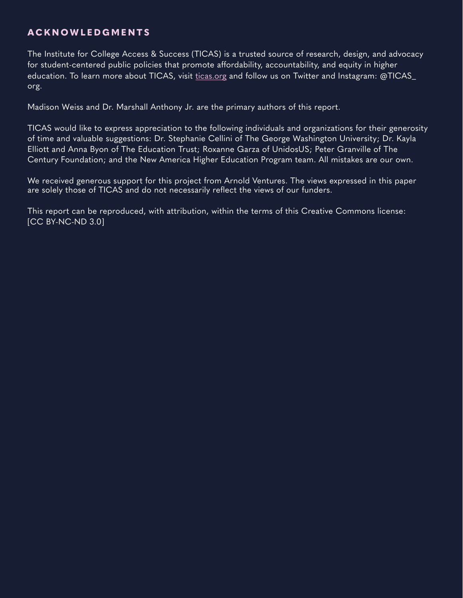## **ACKNOWLEDGMEN T S**

The Institute for College Access & Success (TICAS) is a trusted source of research, design, and advocacy for student-centered public policies that promote affordability, accountability, and equity in higher education. To learn more about TICAS, visit [ticas.org](https://ticas.org/) and follow us on Twitter and Instagram: @TICAS\_ org.

Madison Weiss and Dr. Marshall Anthony Jr. are the primary authors of this report.

TICAS would like to express appreciation to the following individuals and organizations for their generosity of time and valuable suggestions: Dr. Stephanie Cellini of The George Washington University; Dr. Kayla Elliott and Anna Byon of The Education Trust; Roxanne Garza of UnidosUS; Peter Granville of The Century Foundation; and the New America Higher Education Program team. All mistakes are our own.

We received generous support for this project from Arnold Ventures. The views expressed in this paper are solely those of TICAS and do not necessarily reflect the views of our funders.

This report can be reproduced, with attribution, within the terms of this Creative Commons license: [CC BY-NC-ND 3.0]